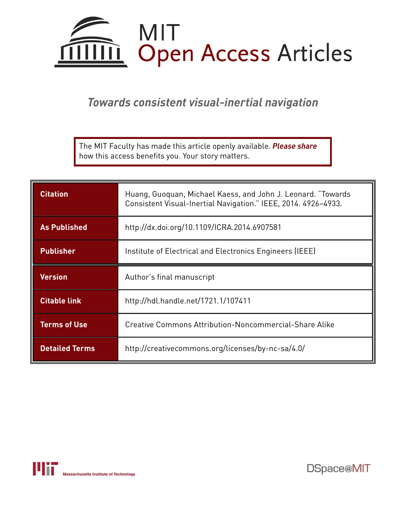

*Towards consistent visual-inertial navigation*

The MIT Faculty has made this article openly available. *[Please](https://libraries.mit.edu/forms/dspace-oa-articles.html) share* how this access benefits you. Your story matters.

| <b>Citation</b>       | Huang, Guoquan, Michael Kaess, and John J. Leonard. "Towards<br>Consistent Visual-Inertial Navigation." IEEE, 2014. 4926-4933. |
|-----------------------|--------------------------------------------------------------------------------------------------------------------------------|
| <b>As Published</b>   | http://dx.doi.org/10.1109/ICRA.2014.6907581                                                                                    |
| <b>Publisher</b>      | Institute of Electrical and Electronics Engineers (IEEE)                                                                       |
| <b>Version</b>        | Author's final manuscript                                                                                                      |
| <b>Citable link</b>   | http://hdl.handle.net/1721.1/107411                                                                                            |
| <b>Terms of Use</b>   | Creative Commons Attribution-Noncommercial-Share Alike                                                                         |
| <b>Detailed Terms</b> | http://creativecommons.org/licenses/by-nc-sa/4.0/                                                                              |



DSpace@MIT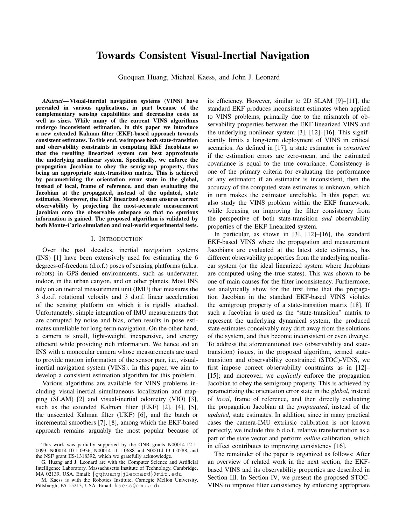# Towards Consistent Visual-Inertial Navigation

Guoquan Huang, Michael Kaess, and John J. Leonard

*Abstract*— Visual-inertial navigation systems (VINS) have prevailed in various applications, in part because of the complementary sensing capabilities and decreasing costs as well as sizes. While many of the current VINS algorithms undergo inconsistent estimation, in this paper we introduce a new extended Kalman filter (EKF)-based approach towards consistent estimates. To this end, we impose both state-transition and obervability constraints in computing EKF Jacobians so that the resulting linearized system can best approximate the underlying nonlinear system. Specifically, we enforce the propagation Jacobian to obey the semigroup property, thus being an appropriate state-transition matrix. This is achieved by parametrizing the orientation error state in the global, instead of local, frame of reference, and then evaluating the Jacobian at the propagated, instead of the updated, state estimates. Moreover, the EKF linearized system ensures correct observability by projecting the most-accurate measurement Jacobian onto the observable subspace so that no spurious information is gained. The proposed algorithm is validated by both Monte-Carlo simulation and real-world experimental tests.

### I. INTRODUCTION

Over the past decades, inertial navigation systems (INS) [1] have been extensively used for estimating the 6 degrees-of-freedom (d.o.f.) poses of sensing platforms (a.k.a. robots) in GPS-denied environments, such as underwater, indoor, in the urban canyon, and on other planets. Most INS rely on an inertial measurement unit (IMU) that measures the 3 d.o.f. rotational velocity and 3 d.o.f. linear acceleration of the sensing platform on which it is rigidly attached. Unfortunately, simple integration of IMU measurements that are corrupted by noise and bias, often results in pose estimates unreliable for long-term navigation. On the other hand, a camera is small, light-weight, inexpensive, and energy efficient while providing rich information. We hence aid an INS with a monocular camera whose measurements are used to provide motion information of the sensor pair, i.e., visualinertial navigation system (VINS). In this paper, we aim to develop a consistent estimation algorithm for this problem.

Various algorithms are available for VINS problems including visual-inertial simultaneous localization and mapping (SLAM) [2] and visual-inertial odometry (VIO) [3], such as the extended Kalman filter (EKF) [2], [4], [5], the unscented Kalman filter (UKF) [6], and the batch or incremental smoothers [7], [8], among which the EKF-based approach remains arguably the most popular because of its efficiency. However, similar to 2D SLAM [9]–[11], the standard EKF produces inconsistent estimates when applied to VINS problems, primarily due to the mismatch of observability properties between the EKF linearized VINS and the underlying nonlinear system [3], [12]–[16]. This significantly limits a long-term deployment of VINS in critical scenarios. As defined in [17], a state estimator is *consistent* if the estimation errors are zero-mean, and the estimated covariance is equal to the true covariance. Consistency is one of the primary criteria for evaluating the performance of any estimator; if an estimator is inconsistent, then the accuracy of the computed state estimates is unknown, which in turn makes the estimator unreliable. In this paper, we also study the VINS problem within the EKF framework, while focusing on improving the filter consistency from the perspective of both state-transition *and* observability properties of the EKF linearized system.

In particular, as shown in [3], [12]–[16], the standard EKF-based VINS where the propagation and measurement Jacobians are evaluated at the latest state estimates, has different observability properties from the underlying nonlinear system (or the ideal linearized system where Jacobians are computed using the true states). This was shown to be one of main causes for the filter inconsistency. Furthermore, we analytically show for the first time that the propagation Jacobian in the standard EKF-based VINS violates the semigroup property of a state-transition matrix [18]. If such a Jacobian is used as the "state-transition" matrix to represent the underlying dynamical system, the produced state estimates conceivably may drift away from the solutions of the system, and thus become inconsistent or even diverge. To address the aforementioned two (observability and statetransition) issues, in the proposed algorithm, termed statetransition and observability constrained (STOC)-VINS, we first impose correct observability constraints as in [12]– [15]; and moreover, we *explicitly* enforce the propagation Jacobian to obey the semigroup property. This is achieved by parametrizing the orientation error state in the *global*, instead of *local*, frame of reference, and then directly evaluating the propagation Jacobian at the *propagated*, instead of the *updated*, state estimates. In addition, since in many practical cases the camera-IMU extrinsic calibration is not known perfectly, we include this 6 d.o.f. relative transformation as a part of the state vector and perform *online* calibration, which in effect contributes to improving consistency [16].

The remainder of the paper is organized as follows: After an overview of related work in the next section, the EKFbased VINS and its observability properties are described in Section III. In Section IV, we present the proposed STOC-VINS to improve filter consistency by enforcing appropriate

This work was partially supported by the ONR grants N00014-12-1- 0093, N00014-10-1-0936, N00014-11-1-0688 and N00014-13-1-0588, and the NSF grant IIS-1318392, which we gratefully acknowledge.

G. Huang and J. Leonard are with the Computer Science and Artificial Intelligence Laboratory, Massachusetts Institute of Technology, Cambridge, MA 02139, USA. Email: *{*gqhuang*|*jleonard*}*@mit.edu

M. Kaess is with the Robotics Institute, Carnegie Mellon University, Pittsburgh, PA 15213, USA. Email: kaess@cmu.edu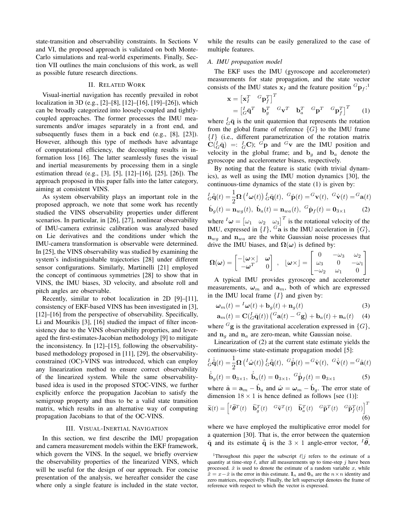state-transition and observability constraints. In Sections V and VI, the proposed approach is validated on both Monte-Carlo simulations and real-world experiments. Finally, Section VII outlines the main conclusions of this work, as well as possible future research directions.

### II. RELATED WORK

Visual-inertial navigation has recently prevailed in robot localization in 3D (e.g., [2]–[8], [12]–[16], [19]–[26]), which can be broadly categorized into loosely-coupled and tightlycoupled approaches. The former processes the IMU measurements and/or images separately in a front end, and subsequently fuses them in a back end (e.g., [8], [23]). However, although this type of methods have advantage of computational efficiency, the decoupling results in information loss [16]. The latter seamlessly fuses the visual and inertial measurements by processing them in a single estimation thread (e.g., [3], [5], [12]–[16], [25], [26]). The approach proposed in this paper falls into the latter category, aiming at consistent VINS.

As system observability plays an important role in the proposed approach, we note that some work has recently studied the VINS observability properties under different scenarios. In particular, in [26], [27], nonlinear observability of IMU-camera extrinsic calibration was analyzed based on Lie derivatives and the conditions under which the IMU-camera transformation is observable were determined. In [25], the VINS observability was studied by examining the system's indistinguishable trajectories [28] under different sensor configurations. Similarly, Martinelli [21] employed the concept of continuous symmetries [28] to show that in VINS, the IMU biases, 3D velocity, and absolute roll and pitch angles are observable.

Recently, similar to robot localization in 2D [9]–[11], consistency of EKF-based VINS has been investigated in [3], [12]–[16] from the perspective of observability. Specifically, Li and Mourikis [3], [16] studied the impact of filter inconsistency due to the VINS observability properties, and leveraged the first-estimates-Jacobian methodology [9] to mitigate the inconsistency. In [12]–[15], following the observabilitybased methodology proposed in [11], [29], the observabilityconstrained (OC)-VINS was introduced, which can employ any linearization method to ensure correct observability of the linearized system. While the same observabilitybased idea is used in the proposed STOC-VINS, we further explicitly enforce the propagation Jacobian to satisfy the semigroup property and thus to be a valid state transition matrix, which results in an alternative way of computing propagation Jacobians to that of the OC-VINS.

### III. VISUAL-INERTIAL NAVIGATION

In this section, we first describe the IMU propagation and camera measurement models within the EKF framework, which govern the VINS. In the sequel, we briefly overview the observability properties of the linearized VINS, which will be useful for the design of our approach. For concise presentation of the analysis, we hereafter consider the case where only a single feature is included in the state vector, while the results can be easily generalized to the case of multiple features.

# *A. IMU propagation model*

The EKF uses the IMU (gyroscope and accelerometer) measurements for state propagation, and the state vector consists of the IMU states  $\mathbf{x}_I$  and the feature position  ${}^G\mathbf{p}_f$ :<sup>1</sup>

$$
\mathbf{x} = \begin{bmatrix} \mathbf{x}_I^T & {}^G \mathbf{p}_f^T \end{bmatrix}^T \n= \begin{bmatrix} {}^L_G \bar{\mathbf{q}}^T & \mathbf{b}_g^T & {}^G \mathbf{v}^T & \mathbf{b}_a^T & {}^G \mathbf{p}^T & {}^G \mathbf{p}_f^T \end{bmatrix}^T
$$
\n(1)

where  ${}_{G}^{I}$  $\bar{q}$  is the unit quaternion that represents the rotation from the global frame of reference  ${G}$  to the IMU frame *{I}* (i.e., different parametrization of the rotation matrix  $\mathbf{C}(\frac{I}{G}\bar{\mathbf{q}})$  =:  $\frac{I}{G}\mathbf{C}$ ;  $G$ **p** and  $G$ **v** are the IMU position and velocity in the global frame; and  $\mathbf{b}_q$  and  $\mathbf{b}_q$  denote the gyroscope and accelerometer biases, respectively.

By noting that the feature is static (with trivial dynamics), as well as using the IMU motion dynamics [30], the continuous-time dynamics of the state (1) is given by:

$$
\frac{I}{G}\dot{\bar{\mathbf{q}}}(t) = \frac{1}{2}\mathbf{\Omega} \left( {}^{I}\boldsymbol{\omega}(t) \right) \frac{I}{G}\bar{\mathbf{q}}(t), \quad \, G\dot{\mathbf{p}}(t) = G\mathbf{v}(t), \quad G\dot{\mathbf{v}}(t) = G\mathbf{a}(t)
$$
\n
$$
\dot{\mathbf{b}}_{g}(t) = \mathbf{n}_{wg}(t), \quad \dot{\mathbf{b}}_{a}(t) = \mathbf{n}_{wa}(t), \quad G\dot{\mathbf{p}}_{f}(t) = \mathbf{0}_{3\times 1} \tag{2}
$$

where  ${}^{I}\omega = \begin{bmatrix} \omega_1 & \omega_2 & \omega_3 \end{bmatrix}^T$  is the rotational velocity of the IMU, expressed in  $\{I\}$ ,  $G$ **a** is the IMU acceleration in  $\{G\}$ ,  $\mathbf{n}_{wg}$  and  $\mathbf{n}_{wa}$  are the white Gaussian noise processes that drive the IMU biases, and  $\Omega(\omega)$  is defined by:

$$
\Omega(\omega) = \begin{bmatrix} -\lfloor \omega \times \rfloor & \omega \\ -\omega^T & 0 \end{bmatrix} , \quad \lfloor \omega \times \rfloor = \begin{bmatrix} 0 & -\omega_3 & \omega_2 \\ \omega_3 & 0 & -\omega_1 \\ -\omega_2 & \omega_1 & 0 \end{bmatrix}
$$

A typical IMU provides gyroscope and accelerometer measurements,  $\omega_m$  and  $\mathbf{a}_m$ , both of which are expressed in the IMU local frame  ${I}$  and given by:

$$
\boldsymbol{\omega}_m(t) = {}^{I} \boldsymbol{\omega}(t) + \mathbf{b}_g(t) + \mathbf{n}_g(t)
$$
\n(3)

$$
\mathbf{a}_{m}(t) = \mathbf{C}(\frac{I}{G}\bar{\mathbf{q}}(t))\left(\frac{G}{\mathbf{a}}(t) - \frac{G}{\mathbf{g}}\right) + \mathbf{b}_{a}(t) + \mathbf{n}_{a}(t) \tag{4}
$$

where <sup>*G*</sup>**g** is the gravitational acceleration expressed in  $\{G\}$ , and  $n_q$  and  $n_a$  are zero-mean, white Gaussian noise.

Linearization of (2) at the current state estimate yields the continuous-time state-estimate propagation model [5]:

$$
\vec{G}\dot{\hat{\mathbf{q}}}(t) = \frac{1}{2}\mathbf{\Omega} \left( {}^{I}\hat{\boldsymbol{\omega}}(t) \right) \vec{G}\hat{\mathbf{q}}(t), \ \ \vec{G}\dot{\hat{\mathbf{p}}}(t) = {}^{G}\hat{\mathbf{v}}(t), \ \ \vec{G}\dot{\hat{\mathbf{v}}}(t) = {}^{G}\hat{\mathbf{a}}(t)
$$
\n
$$
\dot{\hat{\mathbf{b}}}_{g}(t) = \mathbf{0}_{3\times 1}, \ \dot{\hat{\mathbf{b}}}_{a}(t) = \mathbf{0}_{3\times 1}, \ \ {}^{G}\dot{\hat{\mathbf{p}}}_{f}(t) = \mathbf{0}_{3\times 1} \tag{5}
$$

where  $\hat{\mathbf{a}} = \mathbf{a}_m - \hat{\mathbf{b}}_a$  and  $\hat{\boldsymbol{\omega}} = \boldsymbol{\omega}_m - \hat{\mathbf{b}}_g$ . The error state of dimension  $18 \times 1$  is hence defined as follows [see (1)]:

$$
\widetilde{\mathbf{x}}(t) = \begin{bmatrix} {}^{I}\widetilde{\boldsymbol{\theta}}^{T}(t) & \widetilde{\mathbf{b}}_{g}^{T}(t) & {}^{G}\widetilde{\mathbf{v}}^{T}(t) & \widetilde{\mathbf{b}}_{a}^{T}(t) & {}^{G}\widetilde{\mathbf{p}}^{T}(t) & {}^{G}\widetilde{\mathbf{p}}_{f}^{T}(t) \end{bmatrix}^{T}
$$
\n(6)

where we have employed the multiplicative error model for a quaternion [30]. That is, the error between the quaternion  $\bar{q}$  and its estimate  $\hat{\bar{q}}$  is the 3  $\times$  1 angle-error vector,  $^I\theta$ ,

<sup>&</sup>lt;sup>1</sup>Throughout this paper the subscript  $\ell$  *i* refers to the estimate of a quantity at time-step  $\ell$ , after all measurements up to time-step  $j$  have been processed.  $\hat{x}$  is used to denote the estimate of a random variable  $x$ , while  $\tilde{x} = x - \hat{x}$  is the error in this estimate.  $I_n$  and  $O_n$  are the  $n \times n$  identity and zero matrices, respectively. Finally, the left superscript denotes the frame of reference with respect to which the vector is expressed.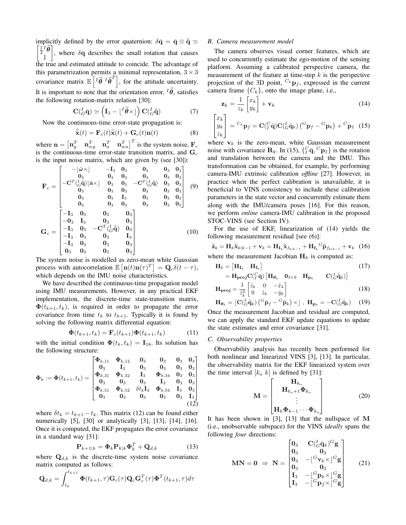$\sqrt{ }$ implicitly defined by the error quaternion:  $\delta \bar{q} = \bar{q} \otimes \hat{q} \simeq$ 1 2  $I\widetilde{\theta}$ 1 1 , where  $\delta \bar{\mathbf{q}}$  describes the small rotation that causes the true and estimated attitude to coincide. The advantage of this parametrization permits a minimal representation,  $3 \times 3$ covariance matrix  $\mathbb{E}\left[ \left[ \tilde{\theta} \right] \tilde{\theta}^T \right]$ , for the attitude uncertainty. It is important to note that the orientation error,  $^I\tilde{\theta}$ , satisfies the following rotation-matrix relation [30]:

$$
\mathbf{C}(\frac{I}{G}\bar{\mathbf{q}}) \simeq \left(\mathbf{I}_3 - \lfloor \frac{I\widetilde{\boldsymbol{\theta}} \times \rfloor}{I} \right) \mathbf{C}(\frac{I}{G}\hat{\mathbf{q}}) \tag{7}
$$

Now the continuous-time error-state propagation is:

$$
\dot{\tilde{\mathbf{x}}}(t) = \mathbf{F}_c(t)\tilde{\mathbf{x}}(t) + \mathbf{G}_c(t)\mathbf{n}(t)
$$
\n(8)

where  $\mathbf{n} = \begin{bmatrix} \mathbf{n}_g^T & \mathbf{n}_{wg}^T & \mathbf{n}_a^T & \mathbf{n}_{wa}^T \end{bmatrix}^T$  is the system noise,  $\mathbf{F}_c$ is the continuous-time error-state transition matrix, and  $\mathbf{G}_c$ is the input noise matrix, which are given by (see [30]):

$$
\mathbf{F}_c = \begin{bmatrix}\n-\lfloor \hat{\omega} \times \rfloor & -\mathbf{I}_3 & \mathbf{0}_3 & \mathbf{0}_3 & \mathbf{0}_3 & \mathbf{0}_3 \\
\mathbf{0}_3 & \mathbf{0}_3 & \mathbf{0}_3 & \mathbf{0}_3 & \mathbf{0}_3 & \mathbf{0}_3 \\
-\mathbf{C}^T (\frac{l}{G} \hat{\mathbf{q}})|\hat{\mathbf{a}} \times \rfloor & \mathbf{0}_3 & \mathbf{0}_3 & -\mathbf{C}^T (\frac{l}{G} \hat{\mathbf{q}}) & \mathbf{0}_3 & \mathbf{0}_3 \\
\mathbf{0}_3 & \mathbf{0}_3 & \mathbf{0}_3 & \mathbf{0}_3 & \mathbf{0}_3 & \mathbf{0}_3 \\
\mathbf{0}_3 & \mathbf{0}_3 & \mathbf{I}_3 & \mathbf{0}_3 & \mathbf{0}_3 & \mathbf{0}_3 \\
\mathbf{0}_3 & \mathbf{0}_3 & \mathbf{0}_3 & \mathbf{0}_3 & \mathbf{0}_3 & \mathbf{0}_3 \\
-\mathbf{I}_3 & \mathbf{0}_3 & \mathbf{0}_3 & \mathbf{0}_3 & \mathbf{0}_3 \\
-\mathbf{I}_3 & \mathbf{0}_3 & -\mathbf{C}^T (\frac{l}{G} \hat{\mathbf{q}}) & \mathbf{0}_3 \\
-\mathbf{I}_3 & \mathbf{0}_3 & \mathbf{0}_3 & \mathbf{I}_3 \\
-\mathbf{I}_3 & \mathbf{0}_3 & \mathbf{0}_3 & \mathbf{0}_3 \\
\mathbf{0}_3 & \mathbf{0}_3 & \mathbf{0}_3 & \mathbf{0}_3\n\end{bmatrix} \tag{10}
$$

The system noise is modelled as zero-mean white Gaussian process with autocorrelation  $\mathbb{E} [\mathbf{n}(t)\mathbf{n}(\tau)^T] = \mathbf{Q}_c \delta(t-\tau)$ , which depends on the IMU noise characteristics.

We have described the continuous-time propagation model using IMU measurements. However, in any practical EKF implementation, the discrete-time state-transition matrix,  $\Phi(t_{k+1}, t_k)$ , is required in order to propagate the error covariance from time  $t_k$  to  $t_{k+1}$ . Typically it is found by solving the following matrix differential equation:

$$
\dot{\mathbf{\Phi}}(t_{k+1}, t_k) = \mathbf{F}_c(t_{k+1}) \mathbf{\Phi}(t_{k+1}, t_k)
$$
\n(11)

with the initial condition  $\Phi(t_k, t_k) = I_{18}$ . Its solution has the following structure:

$$
\mathbf{\Phi}_k := \mathbf{\Phi}(t_{k+1}, t_k) = \begin{bmatrix} \mathbf{\Phi}_{k,11} & \mathbf{\Phi}_{k,12} & 0_3 & 0_3 & 0_3 & 0_3 \\ 0_3 & \mathbf{I}_3 & 0_3 & 0_3 & 0_3 & 0_3 \\ \mathbf{\Phi}_{k,31} & \mathbf{\Phi}_{k,32} & \mathbf{I}_3 & \mathbf{\Phi}_{k,34} & 0_3 & 0_3 \\ 0_3 & 0_3 & 0_3 & \mathbf{I}_3 & 0_3 & 0_3 \\ \mathbf{\Phi}_{k,51} & \mathbf{\Phi}_{k,52} & \delta t_k \mathbf{I}_3 & \mathbf{\Phi}_{k,54} & \mathbf{I}_3 & 0_3 \\ 0_3 & 0_3 & 0_3 & 0_3 & 0_3 & \mathbf{I}_3 \end{bmatrix} \tag{12}
$$

where  $\delta t_k = t_{k+1} - t_k$ . This matrix (12) can be found either numerically [5], [30] or analytically [3], [13], [14], [16]. Once it is computed, the EKF propagates the error covariance in a standard way [31]:

$$
\mathbf{P}_{k+1|k} = \mathbf{\Phi}_k \mathbf{P}_{k|k} \mathbf{\Phi}_k^T + \mathbf{Q}_{d,k} \tag{13}
$$

where 
$$
\mathbf{Q}_{d,k}
$$
 is the discrete-time system noise covariance matrix computed as follows:

$$
\mathbf{Q}_{d,k} = \int_{t_k}^{t_{k+1}} \mathbf{\Phi}(t_{k+1}, \tau) \mathbf{G}_c(\tau) \mathbf{Q}_c \mathbf{G}_c^T(\tau) \mathbf{\Phi}^T(t_{k+1}, \tau) d\tau
$$

### *B. Camera measurement model*

The camera observes visual corner features, which are used to concurrently estimate the ego-motion of the sensing platform. Assuming a calibrated perspective camera, the measurement of the feature at time-step *k* is the perspective projection of the 3D point,  $C_k$ **p**<sub>f</sub>, expressed in the current camera frame  $\{C_k\}$ , onto the image plane, i.e.,

$$
\mathbf{z}_k = \frac{1}{z_k} \begin{bmatrix} x_k \\ y_k \end{bmatrix} + \mathbf{v}_k
$$
 (14)

$$
\begin{bmatrix} x_k \\ y_k \\ z_k \end{bmatrix} = {}^{C_k} \mathbf{p}_f = \mathbf{C}({}^{C}_I \bar{\mathbf{q}}) \mathbf{C}({}^{I}_G \bar{\mathbf{q}}_k) \left( {}^{G} \mathbf{p}_f - {}^{G} \mathbf{p}_k \right) + {}^{C} \mathbf{p}_I \quad (15)
$$

where  $v_k$  is the zero-mean, white Gaussian measurement noise with covariance  $\mathbf{R}_k$ . In (15),  $\{^C_\text{I}\bar{\mathbf{q}}, ^C_\text{I}\mathbf{p}_I\}$  is the rotation and translation between the camera and the IMU. This transformation can be obtained, for example, by performing camera-IMU extrinsic calibration *offline* [27]. However, in practice when the perfect calibration is unavailable, it is beneficial to VINS consistency to include these calibration parameters in the state vector and concurrently estimate them along with the IMU/camera poses [16]. For this reason, we perform *online* camera-IMU calibration in the proposed STOC-VINS (see Section IV).

For the use of EKF, linearization of (14) yields the following measurement residual [see (6)]:

$$
\widetilde{\mathbf{z}}_k = \mathbf{H}_k \widetilde{\mathbf{x}}_{k|k-1} + \mathbf{v}_k = \mathbf{H}_{\mathbf{I}_k} \widetilde{\mathbf{x}}_{I_{k|k-1}} + \mathbf{H}_{\mathbf{f}_k} \mathcal{C} \widetilde{\mathbf{p}}_{I_{k|k-1}} + \mathbf{v}_k \tag{16}
$$

where the measurement Jacobian  $\mathbf{H}_k$  is computed as:

$$
\mathbf{H}_{k} = [\mathbf{H}_{\mathbf{I}_{k}} \quad \mathbf{H}_{\mathbf{f}_{k}}] \tag{17}
$$
\n
$$
-\mathbf{H} \quad \mathbf{C}(\mathcal{C}_{\mathbf{G}}) \left[\mathbf{H}_{\alpha} \quad \mathbf{0}_{\alpha \alpha} \quad \mathbf{H} \quad \mathbf{C}(\mathcal{I}_{\mathbf{G}}) \right] \tag{17}
$$

$$
= \mathbf{H}_{\mathbf{proj}} \mathbf{C}({}_{I}^{C}\bar{\mathbf{q}}) \left[ \mathbf{H}_{\theta_{k}} \quad \mathbf{0}_{3 \times 9} \quad \mathbf{H}_{\mathbf{p}_{k}} \qquad \mathbf{C}({}_{G}^{I}\hat{\mathbf{q}}_{k}) \right]
$$

$$
\mathbf{I}_{\mathbf{I}_{k}} = \begin{bmatrix} 1 & \begin{bmatrix} \hat{z}_{k} & 0 & -\hat{x}_{k} \end{bmatrix} \end{bmatrix} \qquad (18)
$$

$$
\mathbf{H}_{\mathbf{proj}} = \frac{1}{\hat{z}_k^2} \begin{bmatrix} z_k & 0 & -x_k \\ 0 & \hat{z}_k & -\hat{y}_k \end{bmatrix}
$$
(18)

$$
\mathbf{H}_{\theta_k} = \left[ \mathbf{C} \left( \frac{I}{G} \hat{\mathbf{q}}_k \right) \left( \frac{G \hat{\mathbf{p}}_f - G \hat{\mathbf{p}}_k}{\hat{\mathbf{p}}_f - \hat{\mathbf{p}}_k} \right) \times \right], \ \mathbf{H}_{\mathbf{p}_k} = -\mathbf{C} \left( \frac{I}{G} \hat{\mathbf{q}}_k \right) \tag{19}
$$

Once the measurement Jacobian and residual are computed, we can apply the standard EKF update equations to update the state estimates and error covariance [31].

# *C. Observability properties*

Observability analysis has recently been performed for both nonlinear and linearized VINS [3], [13]. In particular, the observability matrix for the EKF linearized system over the time interval  $[k_o \; k]$  is defined by [31]:

$$
\mathbf{M} = \begin{bmatrix} \mathbf{H}_{k_o} \\ \mathbf{H}_{k_o+1} \boldsymbol{\Phi}_{k_o} \\ \vdots \\ \mathbf{H}_k \boldsymbol{\Phi}_{k-1} \cdots \boldsymbol{\Phi}_{k_o} \end{bmatrix}
$$
(20)

It has been shown in [3], [13] that the nullspace of **M** (i.e., unobservable subspace) for the VINS *ideally* spans the following *four* directions:

$$
\mathbf{M}\mathbf{N} = \mathbf{0} \Rightarrow \mathbf{N} = \begin{bmatrix} \mathbf{0}_3 & \mathbf{C} \left( \frac{I}{G} \bar{\mathbf{q}}_k \right)^G \mathbf{g} \\ \mathbf{0}_3 & \mathbf{0}_3 \\ \mathbf{0}_3 & -\left[ \begin{matrix} G_{\mathbf{V}_k} \times \end{matrix} \right]^G \mathbf{g} \\ \mathbf{0}_3 & \mathbf{0}_3 \\ \mathbf{0}_3 & \mathbf{0}_3 \\ \mathbf{I}_3 & -\left[ \begin{matrix} G_{\mathbf{p}_k} \times \end{matrix} \right]^G \mathbf{g} \\ \mathbf{I}_3 & -\left[ \begin{matrix} G_{\mathbf{p}_k} \times \end{matrix} \right]^G \mathbf{g} \end{bmatrix} \tag{21}
$$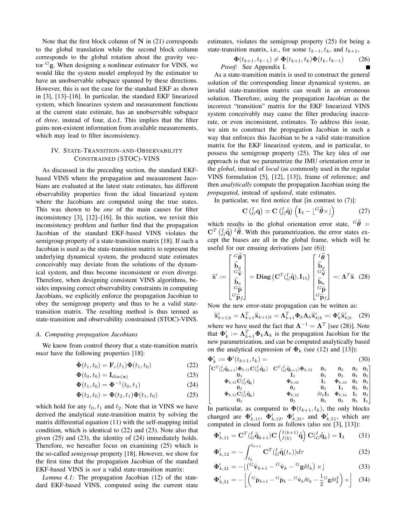Note that the first block column of **N** in (21) corresponds to the global translation while the second block column corresponds to the global rotation about the gravity vector *<sup>G</sup>***g**. When designing a nonlinear estimator for VINS, we would like the system model employed by the estimator to have an unobservable subspace spanned by these directions. However, this is not the case for the standard EKF as shown in [3], [13]–[16]. In particular, the standard EKF linearized system, which linearizes system and measurement functions at the current state estimate, has an unobservable subspace of *three*, instead of four, d.o.f. This implies that the filter gains non-existent information from available measurements, which may lead to filter inconsistency.

# IV. STATE-TRANSITION-AND-OBSERVABILITY CONSTRAINED (STOC)-VINS

As discussed in the preceding section, the standard EKFbased VINS where the propagation and measurement Jacobians are evaluated at the latest state estimates, has different observability properties from the ideal linearized system where the Jacobians are computed using the true states. This was shown to be *one* of the main causes for filter inconsistency [3], [12]–[16]. In this section, we revisit this inconsistency problem and further find that the propagation Jacobian of the standard EKF-based VINS violates the semigroup property of a state-transition matrix [18]. If such a Jacobian is used as the state-transition matrix to represent the underlying dynamical system, the produced state estimates conceivably may deviate from the solutions of the dynamical system, and thus become inconsistent or even diverge. Therefore, when designing consistent VINS algorithms, besides imposing correct observability constraints in computing Jacobians, we explicitly enforce the propagation Jacobian to obey the semigroup property and thus to be a valid statetransition matrix. The resulting method is thus termed as state-transition and observability constrained (STOC)-VINS.

# *A. Computing propagation Jacobians*

We know from control theory that a state-transition matrix *must* have the following properties [18]:

$$
\dot{\mathbf{\Phi}}(t_1, t_0) = \mathbf{F}_c(t_1) \mathbf{\Phi}(t_1, t_0)
$$
\n(22)

$$
\mathbf{\Phi}(t_0, t_0) = \mathbf{I}_{\dim(\mathbf{x})} \tag{23}
$$

 $\mathbf{I}$  $\mathbf{I}$  $\perp$  $\mathbf{I}$  $\mathbf{I}$  $\perp$  $\mathbf{I}$ 

$$
\mathbf{\Phi}(t_1, t_0) = \mathbf{\Phi}^{-1}(t_0, t_1) \tag{24}
$$

$$
\mathbf{\Phi}(t_2, t_0) = \mathbf{\Phi}(t_2, t_1) \mathbf{\Phi}(t_1, t_0)
$$
\n(25)

which hold for any  $t_0, t_1$  and  $t_2$ . Note that in VINS we have derived the analytical state-transition matrix by solving the matrix differential equation (11) with the self-mapping initial condition, which is identical to (22) and (23). Note also that given (25) and (23), the identity of (24) immediately holds. Therefore, we hereafter focus on examining (25) which is the so-called *semigroup* property [18]. However, we show for the first time that the propagation Jacobian of the standard EKF-based VINS is *not* a valid state-transition matrix:

*Lemma 4.1:* The propagation Jacobian (12) of the standard EKF-based VINS, computed using the current state estimates, violates the semigroup property (25) for being a state-transition matrix, i.e., for some  $t_{k-1}, t_k$ , and  $t_{k+1}$ ,

$$
\Phi(t_{k+1}, t_{k-1}) \neq \Phi(t_{k+1}, t_k) \Phi(t_k, t_{k-1})
$$
\n*Proof:* See Appendix I.

As a state-transition matrix is used to construct the general solution of the corresponding linear dynamical systems, an invalid state-transition matrix can result in an erroneous solution. Therefore, using the propagation Jacobian as the incorrect "transition" matrix for the EKF linearized VINS system conceivably may cause the filter producing inaccurate, or even inconsistent, estimates. To address this issue, we aim to construct the propagation Jacobian in such a way that enforces this Jacobian to be a valid state-transition matrix for the EKF linearized system, and in particular, to possess the semigroup property (25). The key idea of our approach is that we parametrize the IMU orientation error in the *global*, instead of *local* (as commonly used in the regular VINS formulation [5], [12], [13]), frame of reference; and then *analytically* compute the propagation Jacobian using the *propagated*, instead of *updated*, state estimates.

In particular, we first notice that [in contrast to  $(7)$ ]:

$$
\mathbf{C}\left(\begin{smallmatrix}I\\ G\bar{\mathbf{q}}\end{smallmatrix}\right)\simeq\mathbf{C}\left(\begin{smallmatrix}I\\ G\bar{\mathbf{q}}\end{smallmatrix}\right)\left(\mathbf{I}_3-\begin{bmatrix}^G\widetilde{\boldsymbol{\theta}}\times\end{bmatrix}\right) \tag{27}
$$

which results in the global orientation error state,  ${}^G\tilde{\theta}$  =  $\mathbf{C}^T \left( \frac{I}{G} \hat{\mathbf{q}} \right) \,^T \hat{\boldsymbol{\theta}}$ . With this parametrization, the error states except the biases are all in the global frame, which will be useful for our ensuing derivations [see (6)]:

$$
\widetilde{\mathbf{x}}' := \begin{bmatrix} {}^{G}\widetilde{\theta} \\ \widetilde{\mathbf{b}}_{g} \\ {}^{G}\widetilde{\mathbf{v}} \\ {}^{G}\widetilde{\mathbf{p}}_{g} \\ {}^{G}\widetilde{\mathbf{p}}_{f} \end{bmatrix} = \mathbf{Diag} \left( \mathbf{C}^{T} ({}^{I}_{G}\widehat{\mathbf{q}}), \mathbf{I}_{15} \right) \begin{bmatrix} {}^{I}\widetilde{\theta} \\ \widetilde{\mathbf{b}}_{g} \\ {}^{G}\widetilde{\mathbf{v}} \\ {}^{G}\widetilde{\mathbf{p}}_{g} \\ {}^{G}\widetilde{\mathbf{p}}_{f} \end{bmatrix} =: \mathbf{\Lambda}^{T} \widetilde{\mathbf{x}} \quad (28)
$$

Now the new error-state propagation can be written as:

$$
\widetilde{\mathbf{x}}'_{k+1|k} = \mathbf{\Lambda}_{k+1}^T \widetilde{\mathbf{x}}_{k+1|k} = \mathbf{\Lambda}_{k+1}^T \boldsymbol{\Phi}_k \mathbf{\Lambda}_k \widetilde{\mathbf{x}}'_{k|k} =: \boldsymbol{\Phi}'_k \widetilde{\mathbf{x}}'_{k|k} \quad (29)
$$
\nwhere we have used the fact that  $\mathbf{\Lambda}^{-1} = \mathbf{\Lambda}^T$  [see (28)]. Note that  $\boldsymbol{\Phi}'_k := \mathbf{\Lambda}_{k+1}^T \boldsymbol{\Phi}_k \mathbf{\Lambda}_k$  is the propagation Jacobian for the

new parametrization, and can be computed analytically based on the analytical expression of  $\Phi_k$  (see (12) and [13]):  $\mathbf{r}$   $\mathbf{r}$ 

$$
\mathbf{\Phi}'_k := \mathbf{\Phi}'(t_{k+1}, t_k) = \tag{30}
$$

$$
\left[\begin{matrix}\mathbf{C}^T ( _G^I \hat{\mathbf{q}}_{k+1}) \boldsymbol{\Phi}_{k,11} \mathbf{C} (^I_G \hat{\mathbf{q}}_{k}) & \mathbf{C}^T ( _G^I \hat{\mathbf{q}}_{k+1}) \boldsymbol{\Phi}_{k,12} & \mathbf{0}_3 & \mathbf{0}_3 & \mathbf{0}_3 & \mathbf{0}_3 \\ \mathbf{0}_3 & \mathbf{I}_3 & \mathbf{0}_3 & \mathbf{0}_3 & \mathbf{0}_3 & \mathbf{0}_3 \\ \boldsymbol{\Phi}_{k,31} \mathbf{C} (^I_G \hat{\mathbf{q}}_{k}) & \boldsymbol{\Phi}_{k,32} & \mathbf{I}_3 & \boldsymbol{\Phi}_{k,34} & \mathbf{0}_3 & \mathbf{0}_3 \\ \mathbf{0}_3 & \mathbf{0}_3 & \mathbf{0}_3 & \mathbf{I}_3 & \mathbf{0}_3 & \mathbf{0}_3 \\ \boldsymbol{\Phi}_{k,51} \mathbf{C} (^I_G \hat{\mathbf{q}}_{k}) & \boldsymbol{\Phi}_{k,52} & \boldsymbol{\delta}_{k,54} & \mathbf{I}_3 & \mathbf{0}_3 \\ \mathbf{0}_3 & \mathbf{0}_3 & \mathbf{0}_3 & \mathbf{0}_3 & \mathbf{0}_3 & \mathbf{I}_3\end{matrix}\right]
$$

In particular, as compared to  $\Phi(t_{k+1}, t_k)$ , the only blocks changed are  $\Phi'_{k,11}$ ,  $\Phi'_{k,12}$ ,  $\Phi'_{k,31}$ , and  $\Phi'_{k,51}$ , which are computed in closed form as follows (also see [3], [13]):

$$
\Phi_{k,11}^{\prime} = \mathbf{C}^{T} \left( \frac{I}{G} \hat{\mathbf{q}}_{k+1} \right) \mathbf{C} \left( \frac{I(k+1)}{I(k)} \hat{\mathbf{q}} \right) \mathbf{C} \left( \frac{I}{G} \hat{\mathbf{q}}_{k} \right) = \mathbf{I}_{3} \tag{31}
$$

$$
\Phi_{k,12}' = -\int_{t_k}^{t_{k+1}} \mathbf{C}^T \left(\frac{I}{G} \hat{\mathbf{q}}(t_\tau)\right) d\tau \tag{32}
$$

$$
\mathbf{\Phi}'_{k,31} = -\lfloor (\overset{\circ}{\mathbf{G}}\hat{\mathbf{v}}_{k+1} - \overset{G}\hat{\mathbf{v}}_k - \overset{G}\mathbf{g}\delta t_k) \times \rfloor \tag{33}
$$

$$
\mathbf{\Phi}'_{k,51} = -\left[ \left( {}^G \hat{\mathbf{p}}_{k+1} - {}^G \hat{\mathbf{p}}_k - {}^G \hat{\mathbf{v}}_k \delta t_k - \frac{1}{2} {}^G \mathbf{g} \delta t_k^2 \right) \times \right] \quad (34)
$$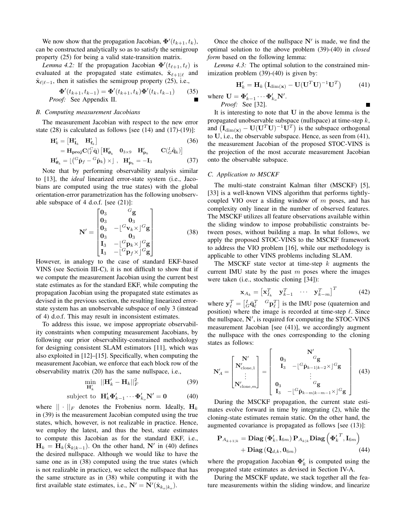We now show that the propagation Jacobian,  $\Phi'(t_{k+1}, t_k)$ , can be constructed analytically so as to satisfy the semigroup property (25) for being a valid state-transition matrix.

*Lemma 4.2:* If the propagation Jacobian  $\Phi'(t_{\ell+1}, t_{\ell})$  is evaluated at the propagated state estimates,  $\hat{\mathbf{x}}_{\ell+1|\ell}$  and  $\hat{\mathbf{x}}_{\ell|\ell-1}$ , then it satisfies the semigroup property (25), i.e.,

$$
\Phi'(t_{k+1}, t_{k-1}) = \Phi'(t_{k+1}, t_k) \Phi'(t_k, t_{k-1})
$$
 (35)  
*Proof:* See Appendix II.

# *B. Computing measurement Jacobians*

The measurement Jacobian with respect to the new error state (28) is calculated as follows [see (14) and (17)-(19)]:

$$
\mathbf{H}'_k = \begin{bmatrix} \mathbf{H}'_{\mathbf{I}_k} & \mathbf{H}'_{\mathbf{f}_k} \end{bmatrix}
$$
\n
$$
= \mathbf{H}_{\mathbf{proj}} \mathbf{C} \begin{bmatrix} \overline{G} \\ \overline{G} \end{bmatrix} \begin{bmatrix} \mathbf{H}'_{\theta_k} & \mathbf{0}_{3 \times 9} & \mathbf{H}'_{\mathbf{p}_k} & \mathbf{C} \begin{bmatrix} \overline{I}_k \\ \overline{G} \end{bmatrix} \end{bmatrix}
$$
\n(36)

$$
\mathbf{H}'_{\theta_k} = \lfloor (\mathbf{G}_{\hat{\mathbf{p}}f} - \mathbf{G}_{\hat{\mathbf{p}}k}) \times \rfloor , \quad \mathbf{H}'_{\mathbf{p}_k} = -\mathbf{I}_3 \tag{37}
$$

Note that by performing observability analysis similar to [13], the *ideal* linearized error-state system (i.e., Jacobians are computed using the true states) with the global orientation-error parametrization has the following unobservable subspace of 4 d.o.f. [see (21)]:

$$
\mathbf{N}' = \begin{bmatrix} \mathbf{0}_3 & G_{\mathbf{g}} \\ \mathbf{0}_3 & \mathbf{0}_3 \\ \mathbf{0}_3 & -[\mathbf{G}_{\mathbf{v}_k \times}] G_{\mathbf{g}} \\ \mathbf{0}_3 & \mathbf{0}_3 \\ \mathbf{I}_3 & -[\mathbf{G}_{\mathbf{p}_k \times}] G_{\mathbf{g}} \\ \mathbf{I}_3 & -[\mathbf{G}_{\mathbf{p}_f \times}] G_{\mathbf{g}} \end{bmatrix} \tag{38}
$$

However, in analogy to the case of standard EKF-based VINS (see Sectioin III-C), it is not difficult to show that if we compute the measurement Jacobian using the current best state estimates as for the standard EKF, while computing the propagation Jacobian using the propagated state estimates as devised in the previous section, the resulting linearized errorstate system has an unobservable subspace of only 3 (instead of 4) d.o.f. This may result in inconsistent estimates.

To address this issue, we impose appropriate observability constraints when computing measurement Jacobians, by following our prior observability-constrained methodology for designing consistent SLAM estimators [11], which was also exploited in [12]–[15]. Specifically, when computing the measurement Jacobian, we enforce that each block row of the observability matrix (20) has the same nullspace, i.e.,

$$
\min_{\mathbf{H}'_k} \ \|\mathbf{H}'_k - \mathbf{H}_k\|_F^2 \tag{39}
$$

subject to 
$$
\mathbf{H}_{k}^{\prime} \mathbf{\Phi}_{k-1}^{\prime} \cdots \mathbf{\Phi}_{k_{o}}^{\prime} \mathbf{N}^{\prime} = \mathbf{0}
$$
 (40)

where  $|| \cdot ||_F$  denotes the Frobenius norm. Ideally,  $H_k$ in (39) is the measurement Jacobian computed using the true states, which, however, is not realizable in practice. Hence, we employ the latest, and thus the best, state estimates to compute this Jacobian as for the standard EKF, i.e.,  $\mathbf{H}_k = \mathbf{H}_k(\hat{\mathbf{x}}_{k|k-1})$ . On the other hand,  $\mathbf{N}'$  in (40) defines the desired nullspace. Although we would like to have the same one as in (38) computed using the true states (which is not realizable in practice), we select the nullspace that has the same structure as in (38) while computing it with the first available state estimates, i.e.,  $N' = N'(\hat{x}_{k_o|k_o})$ .

Once the choice of the nullspace  $N'$  is made, we find the optimal solution to the above problem (39)-(40) in *closed form* based on the following lemma:

*Lemma 4.3:* The optimal solution to the constrained minimization problem (39)-(40) is given by:

$$
\mathbf{H}'_k = \mathbf{H}_k \left( \mathbf{I}_{\dim(\mathbf{x})} - \mathbf{U} (\mathbf{U}^T \mathbf{U})^{-1} \mathbf{U}^T \right) \tag{41}
$$

П

where  $\mathbf{U} = \mathbf{\Phi}'_{k-1} \cdots \mathbf{\Phi}'_{k_o} \mathbf{N}'$ . *Proof:* See [32].

It is interesting to note that **U** in the above lemma is the propagated unobservable subspace (nullspace) at time-step *k*, and  $(\mathbf{I}_{\text{dim}(\mathbf{x})} - \mathbf{U}(\mathbf{U}^T \mathbf{U})^{-1} \mathbf{U}^T)$  is the subspace orthogonal to **U**, i.e., the observable subspace. Hence, as seen from (41), the measurement Jacobian of the proposed STOC-VINS is the projection of the most accurate measurement Jacobian onto the observable subspace.

# *C. Application to MSCKF*

The multi-state constraint Kalman filter (MSCKF) [5], [33] is a well-known VINS algorithm that performs tightlycoupled VIO over a sliding window of *m* poses, and has complexity only linear in the number of observed features. The MSCKF utilizes all feature observations available within the sliding window to impose probabilistic constraints between poses, without building a map. In what follows, we apply the proposed STOC-VINS to the MSCKF framework to address the VIO problem [16], while our methodology is applicable to other VINS problems including SLAM.

The MSCKF state vector at time-step *k* augments the current IMU state by the past *m* poses where the images were taken (i.e., stochastic cloning [34]):

$$
\mathbf{x}_{A_k} = \begin{bmatrix} \mathbf{x}_{I_k}^T & \mathbf{y}_{k-1}^T & \cdots & \mathbf{y}_{k-m}^T \end{bmatrix}^T
$$
(42)

where  $y_{\ell}^T = \begin{bmatrix} I_{\mathcal{G}} \bar{\mathbf{q}}_{\ell}^T & {}^G \mathbf{p}_{\ell}^T \end{bmatrix}$  is the IMU pose (quaternion and position) where the image is recorded at time-step  $\ell$ . Since the nullspace, N', is required for computing the STOC-VINS measurement Jacobian [see (41)], we accordingly augment the nullspace with the ones corresponding to the cloning states as follows:

$$
\mathbf{N}'_{A} = \begin{bmatrix} \mathbf{N}' \\ \mathbf{N}'_{\text{clone},1} \\ \vdots \\ \mathbf{N}'_{\text{clone},m} \end{bmatrix} = \begin{bmatrix} \mathbf{0}_{3} & \mathbf{N}'_{G} \\ \mathbf{I}_{3} & -\begin{bmatrix} G_{\hat{\mathbf{p}}_{k-1|k-2} \times \end{bmatrix} G_{\mathbf{g}} \\ \vdots \\ G_{3} & G_{\mathbf{g}} \\ \mathbf{I}_{3} & -\begin{bmatrix} G_{\hat{\mathbf{p}}_{k-m|k-m-1} \times \end{bmatrix} G_{\mathbf{g}} \end{bmatrix}
$$
(43)

During the MSCKF propagation, the current state estimates evolve forward in time by integrating (2), while the cloning-state estimates remain static. On the other hand, the augmented covariance is propagated as follows [see (13)]:

$$
\mathbf{P}_{A_{k+1|k}} = \mathbf{Diag} \left( \boldsymbol{\Phi}_{k}^{\prime}, \mathbf{I}_{6m} \right) \mathbf{P}_{A_{k|k}} \mathbf{Diag} \left( \boldsymbol{\Phi}_{k}^{\prime T}, \mathbf{I}_{6m} \right) + \mathbf{Diag} \left( \mathbf{Q}_{d,k}, \mathbf{0}_{6m} \right) \tag{44}
$$

where the propagation Jacobian  $\Phi'_{k}$  is computed using the propagated state estimates as devised in Section IV-A.

During the MSCKF update, we stack together all the feature measurements within the sliding window, and linearize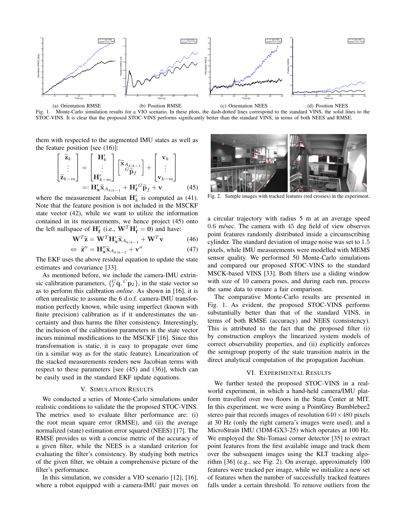

(a) Orientation RMSE (b) Position RMSE (c) Orientation NEES (d) Position NEES Fig. 1. Monte-Carlo simulation results for a VIO scenario. In these plots, the dash-dotted lines correspond to the standard VINS, the solid lines to the STOC-VINS. It is clear that the proposed STOC-VINS performs significantly better than the standard VINS, in terms of both NEES and RMSE.

them with respected to the augmented IMU states as well as the feature position [see (16)]:

$$
\begin{bmatrix} \widetilde{\mathbf{z}}_k \\ \vdots \\ \widetilde{\mathbf{z}}_{k-m} \end{bmatrix} = \begin{bmatrix} \mathbf{H}_k' \\ \vdots \\ \mathbf{H}_{k-m}' \end{bmatrix} \begin{bmatrix} \widetilde{\mathbf{x}}_{A_{k|k-1}} \\ G \widetilde{\mathbf{p}}_f \end{bmatrix} + \begin{bmatrix} \mathbf{v}_k \\ \vdots \\ \mathbf{v}_{k-m} \end{bmatrix}
$$

$$
=: \mathbf{H}_\mathbf{x}' \widetilde{\mathbf{x}}_{A_{k|k-1}} + \mathbf{H}_\mathbf{f}'^G \widetilde{\mathbf{p}}_f + \mathbf{v} \tag{45}
$$

where the measurement Jacobian  $\mathbf{H}'_k$  is computed as (41). Note that the feature position is not included in the MSCKF state vector (42), while we want to utilize the information contained in its measurements, we hence project (45) onto the left nullspace of  $\mathbf{H}_{\mathbf{f}}'$  (i.e.,  $\mathbf{W}^T \mathbf{H}_{\mathbf{f}}' = 0$ ) and have:

$$
\mathbf{W}^T \widetilde{\mathbf{z}} = \mathbf{W}^T \mathbf{H}'_{\mathbf{x}} \widetilde{\mathbf{x}}_{A_{k|k-1}} + \mathbf{W}^T \mathbf{v}
$$
 (46)

$$
\Leftrightarrow \ \widetilde{\mathbf{z}}'' = \mathbf{H}_{\mathbf{x}}'' \widetilde{\mathbf{x}}_{A_{k|k-1}} + \mathbf{v}'' \tag{47}
$$

The EKF uses the above residual equation to update the state estimates and covariance [33].

As mentioned before, we include the camera-IMU extrinsic calibration parameters,  $\{C \bar{\mathbf{q}}, C \mathbf{p}_I\}$ , in the state vector so as to perform this calibration *online*. As shown in [16], it is often unrealistic to assume the 6 d.o.f. camera-IMU transformation perfectly known, while using imperfect (known with finite precision) calibration as if it underestimates the uncertainty and thus harms the filter consistency. Interestingly, the inclusion of the calibration parameters in the state vector incurs minimal modifications to the MSCKF [16]. Since this transformation is static, it is easy to propagate over time (in a similar way as for the static feature). Linearization of the stacked measurements renders new Jacobian terms with respect to these parameters [see (45) and (36)], which can be easily used in the standard EKF update equations.

# V. SIMULATION RESULTS

We conducted a series of Monte-Carlo simulations under realistic conditions to validate the the proposed STOC-VINS. The metrics used to evaluate filter performance are: (i) the root mean square error (RMSE), and (ii) the average normalized (state) estimation error squared (NEES) [17]. The RMSE provides us with a concise metric of the accuracy of a given filter, while the NEES is a standard criterion for evaluating the filter's consistency. By studying both metrics of the given filter, we obtain a comprehensive picture of the filter's performance.

In this simulation, we consider a VIO scenario [12], [16], where a robot equipped with a camera-IMU pair moves on



Fig. 2. Sample images with tracked features (red crosses) in the experiment.

a circular trajectory with radius 5 m at an average speed 0*.*6 m/sec. The camera with 45 deg field of view observes point features randomly distributed inside a circumscribing cylinder. The standard deviation of image noise was set to 1*.*5 pixels, while IMU measurements were modelled with MEMS sensor quality. We performed 50 Monte-Carlo simulations and compared our proposed STOC-VINS to the standard MSCK-based VINS [33]. Both filters use a sliding window with size of 10 camera poses, and during each run, process the same data to ensure a fair comparison.

The comparative Monte-Carlo results are presented in Fig. 1. As evident, the proposed STOC-VINS performs substantially better than that of the standard VINS, in terms of both RMSE (accuracy) and NEES (consistency). This is attributed to the fact that the proposed filter (i) by construction employs the linearized system models of correct observability properties, and (ii) explicitly enforces the semigroup property of the state transition matrix in the direct analytical computation of the propagation Jacobian.

# VI. EXPERIMENTAL RESULTS

We further tested the proposed STOC-VINS in a realworld experiment, in which a hand-held camera/IMU platform travelled over two floors in the Stata Center at MIT. In this experiment, we were using a PointGrey Bumblebee2 stereo pair that records images of resolution 640*×*480 pixels at 30 Hz (only the right camera's images were used), and a MicroStrain IMU (3DM-GX3-25) which operates at 100 Hz. We employed the Shi-Tomasi corner detector [35] to extract point features from the first available image and track them over the subsequent images using the KLT tracking algorithm [36] (e.g., see Fig. 2). On average, approximately 100 features were tracked per image, while we initialize a new set of features when the number of successfully tracked features falls under a certain threshold. To remove outliers from the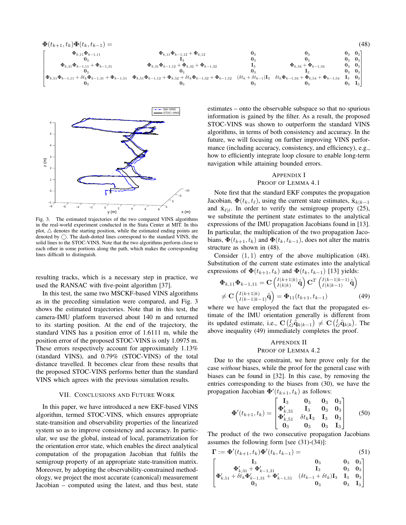$$
\Phi(t_{k+1}, t_k) \Phi(t_k, t_{k-1}) = \n\begin{bmatrix}\n\Phi_{k,11}\Phi_{k-1,11} & \Phi_{k,11}\Phi_{k-1,12} + \Phi_{k,12} & 0_3 & 0_3 & 0_3 & 0_3 \\
\Phi_{k,31}\Phi_{k-1,11} + \Phi_{k-1,31} & \Phi_{k,31}\Phi_{k-1,12} + \Phi_{k,32} + \Phi_{k-1,32} & \mathbf{I}_3 & \Phi_{k,34} + \Phi_{k-1,34} & 0_3 & 0_3 \\
\mathbf{I}_3 & \mathbf{I}_3 & \mathbf{I}_3 & \mathbf{I}_3 & \mathbf{I}_3 & \mathbf{I}_3 & 0_3 & 0_3 \\
\mathbf{I}_3 & \mathbf{I}_3 & \mathbf{I}_3 & \mathbf{I}_3 & \mathbf{I}_3 & \mathbf{I}_3 & 0_3 & 0_3 \\
\mathbf{I}_3 & \mathbf{I}_3 & \mathbf{I}_3 & \mathbf{I}_3 & \mathbf{I}_3 & \mathbf{I}_3 & 0_3 \\
\mathbf{I}_3 & \mathbf{I}_3 & \mathbf{I}_3 & \mathbf{I}_3 & \mathbf{I}_3 & \mathbf{I}_3 & 0_3 \\
\mathbf{I}_3 & \mathbf{I}_3 & \mathbf{I}_3 & \mathbf{I}_3 & \mathbf{I}_3 & \mathbf{I}_3 & 0_3 \\
\mathbf{I}_3 & \mathbf{I}_3 & \mathbf{I}_3 & \mathbf{I}_3 & \mathbf{I}_3 & \mathbf{I}_3 & \mathbf{I}_3 & 0_3 \\
\mathbf{I}_3 & \mathbf{I}_3 & \mathbf{I}_3 & \mathbf{I}_3 & \mathbf{I}_3 & \mathbf{I}_3 & \mathbf{I}_3 & \mathbf{I}_3 & \mathbf{I}_3 \\
\mathbf{I}_3 & \mathbf{I}_3 & \mathbf{I}_3 & \mathbf{I}_3 & \mathbf{I}_3 & \mathbf{I}_3 & \mathbf{I}_3 \\
\mathbf{I}_3 & \mathbf{I}_3 & \mathbf{I}_3 & \mathbf{I}_3 & \mathbf{I}_3 & \mathbf{I}_3 & \mathbf{I}_3 & \mathbf{I}_3 & \mathbf{I}_3 & \mathbf{I}_3 \\
\mathbf{I}_3 & \mathbf{I}_
$$



Fig. 3. The estimated trajectories of the two compared VINS algorithms in the real-world experiment conducted in the Stata Center at MIT. In this plot,  $\triangle$  denotes the starting position, while the estimated ending points are denoted by . The dash-dotted lines correspond to the standard VINS, the solid lines to the STOC-VINS. Note that the two algorithms perform close to each other in some portions along the path, which makes the corresponding lines difficult to distinguish.

resulting tracks, which is a necessary step in practice, we used the RANSAC with five-point algorithm [37].

In this test, the same two MSCKF-based VINS algorithms as in the preceding simulation were compared, and Fig. 3 shows the estimated trajectories. Note that in this test, the camera-IMU platform traversed about 140 m and returned to its starting position. At the end of the trajectory, the standard VINS has a position error of 1.6111 m, while the position error of the proposed STOC-VINS is only 1.0975 m. These errors respectively account for approximately 1.13% (standard VINS), and 0.79% (STOC-VINS) of the total distance travelled. It becomes clear from these results that the proposed STOC-VINS performs better than the standard VINS which agrees with the previous simulation results.

### VII. CONCLUSIONS AND FUTURE WORK

In this paper, we have introduced a new EKF-based VINS algorithm, termed STOC-VINS, which ensures appropriate state-transition and observability properties of the linearized system so as to improve consistency and accuracy. In particular, we use the global, instead of local, parametrization for the orientation error state, which enables the direct analytical computation of the propagation Jacobian that fulfils the semigroup property of an appropriate state-transition matrix. Moreover, by adopting the observability-constrained methodology, we project the most accurate (canonical) measurement Jacobian – computed using the latest, and thus best, state estimates – onto the observable subspace so that no spurious information is gained by the filter. As a result, the proposed STOC-VINS was shown to outperform the standard VINS algorithms, in terms of both consistency and accuracy. In the future, we will focusing on further improving VINS performance (including accuracy, consistency, and efficiency), e.g., how to efficiently integrate loop closure to enable long-term navigation while attaining bounded errors.

# APPENDIX I PROOF OF LEMMA 4.1

Note first that the standard EKF computes the propagation Jacobian,  $\Phi(t_k, t_\ell)$ , using the current state estimates,  $\hat{\mathbf{x}}_{k|k-1}$ and  $\hat{\mathbf{x}}_{\ell|\ell}$ . In order to verify the semigroup property (25), we substitute the pertinent state estimates to the analytical expressions of the IMU propagation Jacobians found in [13]. In particular, the multiplication of the two propagation Jacobians,  $\Phi(t_{k+1}, t_k)$  and  $\Phi(t_k, t_{k-1})$ , does not alter the matrix structure as shown in (48).

Consider (1*,* 1) entry of the above multiplication (48). Substitution of the current state estimates into the analytical expressions of  $\Phi(t_{k+1}, t_k)$  and  $\Phi(t_k, t_{k-1})$  [13] yields:

$$
\Phi_{k,11}\Phi_{k-1,11} = \mathbf{C} \begin{pmatrix} I(k+1|k) \\ I(k|k) \end{pmatrix} \mathbf{C}^T \begin{pmatrix} I(k-1|k-1) \\ I(k|k-1) \end{pmatrix} \hat{\mathbf{q}} \right) \neq \mathbf{C} \begin{pmatrix} I(k+1|k) \\ I(k-1|k-1) \end{pmatrix} = \Phi_{11}(t_{k+1}, t_{k-1})
$$
\n(49)

where we have employed the fact that the propagated estimate of the IMU orientation generally is different from its updated estimate, i.e.,  $\mathbf{C} \left( \frac{I}{G} \tilde{\hat{\mathbf{q}}}_{k|k-1} \right) \neq \mathbf{C} \left( \frac{I}{G} \hat{\hat{\mathbf{q}}}_{k|k} \right)$ . The above inequality (49) immediately completes the proof.

# APPENDIX II PROOF OF LEMMA 4.2

Due to the space constraint, we here prove only for the case *without* biases, while the proof for the general case with biases can be found in [32]. In this case, by removing the entries corresponding to the biases from (30), we have the propagation Jacobian  $\mathbf{\Phi}'(t_{k+1}, t_k)$  as follows:

$$
\mathbf{\Phi}'(t_{k+1}, t_k) = \begin{bmatrix} \mathbf{I}_3 & \mathbf{0}_3 & \mathbf{0}_3 & \mathbf{0}_3 \\ \mathbf{\Phi}'_{k,31} & \mathbf{I}_3 & \mathbf{0}_3 & \mathbf{0}_3 \\ \mathbf{\Phi}'_{k,51} & \delta t_k \mathbf{I}_3 & \mathbf{I}_3 & \mathbf{0}_3 \\ \mathbf{0}_3 & \mathbf{0}_3 & \mathbf{0}_3 & \mathbf{I}_3 \end{bmatrix}
$$
(50)

The product of the two consecutive propagation Jacobians assumes the following form [see (31)-(34)]:

$$
\mathbf{\Gamma} := \mathbf{\Phi}'(t_{k+1}, t_k) \mathbf{\Phi}'(t_k, t_{k-1}) = \tag{51}
$$

$$
\begin{bmatrix} \mathbf{I}_3 & \mathbf{0}_3 & \mathbf{0}_3 & \mathbf{0}_3 \\ \mathbf{\Phi}'_{k,31} + \mathbf{\Phi}'_{k-1,31} & \mathbf{I}_3 & \mathbf{0}_3 & \mathbf{0}_3 \\ \mathbf{\Phi}'_{k,51} + \delta t_k \mathbf{\Phi}'_{k-1,31} + \mathbf{\Phi}'_{k-1,51} & (\delta t_{k-1} + \delta t_k) \mathbf{I}_3 & \mathbf{I}_3 & \mathbf{0}_3 \\ \mathbf{0}_3 & \mathbf{0}_3 & \mathbf{0}_3 & \mathbf{I}_3 \end{bmatrix}
$$